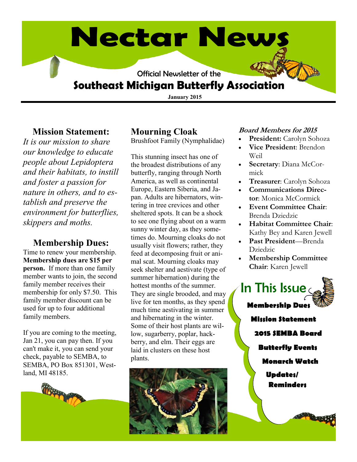# **Nectar News**

Official Newsletter of the

# **Southeast Michigan Butterfly Association**

**January 2015**

#### **Mission Statement:**

*It is our mission to share our knowledge to educate people about Lepidoptera and their habitats, to instill and foster a passion for nature in others, and to establish and preserve the environment for butterflies, skippers and moths.* 

### **Membership Dues:**

Time to renew your membership. **Membership dues are \$15 per person.** If more than one family member wants to join, the second family member receives their membership for only \$7.50. This family member discount can be used for up to four additional family members.

If you are coming to the meeting, Jan 21, you can pay then. If you can't make it, you can send your check, payable to SEMBA, to SEMBA, PO Box 851301, Westland, MI 48185.



# **Mourning Cloak**

Brushfoot Family (Nymphalidae)

This stunning insect has one of the broadest distributions of any butterfly, ranging through North America, as well as continental Europe, Eastern Siberia, and Japan. Adults are hibernators, wintering in tree crevices and other sheltered spots. It can be a shock to see one flying about on a warm sunny winter day, as they sometimes do. Mourning cloaks do not usually visit flowers; rather, they feed at decomposing fruit or animal scat. Mourning cloaks may seek shelter and aestivate (type of summer hibernation) during the hottest months of the summer. They are single brooded, and may live for ten months, as they spend much time aestivating in summer and hibernating in the winter. Some of their host plants are willow, sugarberry, poplar, hackberry, and elm. Their eggs are laid in clusters on these host plants.



#### **Board Members for 2015**

- **President:** Carolyn Sohoza
- **Vice President**: Brendon Weil
- **Secretary**: Diana McCormick
- **Treasurer**: Carolyn Sohoza
- **Communications Director**: Monica McCormick
- **Event Committee Chair**: Brenda Dziedzic
- **Habitat Committee Chair**: Kathy Bey and Karen Jewell
- **Past President**—Brenda Dziedzic
- **Membership Committee Chair**: Karen Jewell

**Membership Dues Mission Statement 2015 SEMBA Board Butterfly Events Monarch Watch Updates/** In This Issue

**Reminders**

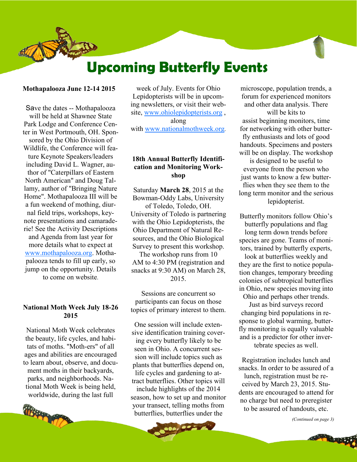# **Upcoming Butterfly Events**

#### **Mothapalooza June 12-14 2015**

Save the dates -- Mothapalooza will be held at Shawnee State Park Lodge and Conference Center in West Portmouth, OH. Sponsored by the Ohio Division of Wildlife, the Conference will feature Keynote Speakers/leaders including David L. Wagner, author of "Caterpillars of Eastern North American" and Doug Tallamy, author of "Bringing Nature Home". Mothapalooza III will be a fun weekend of mothing, diurnal field trips, workshops, keynote presentations and camaraderie! See the Activity Descriptions and Agenda from last year for more details what to expect at [www.mothapalooza.org.](http://www.mothapalooza.org/) Mothapalooza tends to fill up early, so jump on the opportunity. Details to come on website.

#### **National Moth Week July 18-26 2015**

National Moth Week celebrates the beauty, life cycles, and habitats of moths. "Moth-ers" of all ages and abilities are encouraged to learn about, observe, and document moths in their backyards, parks, and neighborhoods. National Moth Week is being held, worldwide, during the last full



week of July. Events for Ohio Lepidopterists will be in upcoming newsletters, or visit their website, [www.ohiolepidopterists.org](http://www.ohiolepidopterists.org/) , along with [www.nationalmothweek.org](http://www.nationalmothweek.org/).

#### **18th Annual Butterfly Identification and Monitoring Workshop**

Saturday **March 28**, 2015 at the Bowman-Oddy Labs, University of Toledo, Toledo, OH. University of Toledo is partnering with the Ohio Lepidopterists, the Ohio Department of Natural Resources, and the Ohio Biological Survey to present this workshop.

The workshop runs from 10 AM to 4:30 PM (registration and snacks at 9:30 AM) on March 28, 2015.

Sessions are concurrent so participants can focus on those topics of primary interest to them.

One session will include extensive identification training covering every butterfly likely to be seen in Ohio. A concurrent session will include topics such as plants that butterflies depend on, life cycles and gardening to attract butterflies. Other topics will include highlights of the 2014 season, how to set up and monitor

your transect, telling moths from butterflies, butterflies under the

**ALC 750** 

microscope, population trends, a forum for experienced monitors and other data analysis. There will be kits to assist beginning monitors, time for networking with other butterfly enthusiasts and lots of good handouts. Specimens and posters will be on display. The workshop is designed to be useful to everyone from the person who just wants to know a few butterflies when they see them to the long term monitor and the serious lepidopterist.

Butterfly monitors follow Ohio's butterfly populations and flag long term down trends before species are gone. Teams of monitors, trained by butterfly experts, look at butterflies weekly and

they are the first to notice population changes, temporary breeding colonies of subtropical butterflies in Ohio, new species moving into Ohio and perhaps other trends.

Just as bird surveys record changing bird populations in response to global warming, butterfly monitoring is equally valuable and is a predictor for other invertebrate species as well.

Registration includes lunch and snacks. In order to be assured of a lunch, registration must be received by March 23, 2015. Students are encouraged to attend for no charge but need to preregister to be assured of handouts, etc.

*(Continued on page 3)*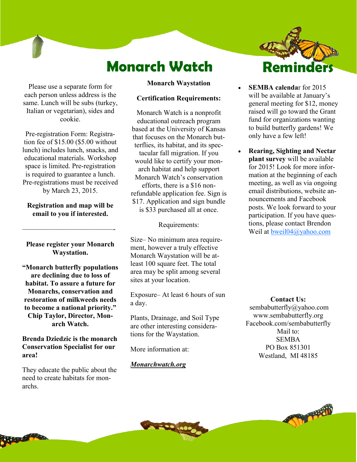# **Monarch Watch**

Please use a separate form for each person unless address is the same. Lunch will be subs (turkey, Italian or vegetarian), sides and cookie.

Pre-registration Form: Registration fee of \$15.00 (\$5.00 without lunch) includes lunch, snacks, and educational materials. Workshop space is limited. Pre-registration is required to guarantee a lunch. Pre-registrations must be received by March 23, 2015.

**Registration and map will be email to you if interested.**

**Please register your Monarch Waystation.**

————————————-

**"Monarch butterfly populations are declining due to loss of habitat. To assure a future for Monarchs, conservation and restoration of milkweeds needs to become a national priority." Chip Taylor, Director, Monarch Watch.**

**Brenda Dziedzic is the monarch Conservation Specialist for our area!** 

They educate the public about the need to create habitats for monarchs.

#### **Monarch Waystation**

#### **Certification Requirements:**

Monarch Watch is a nonprofit educational outreach program based at the University of Kansas that focuses on the Monarch butterflies, its habitat, and its spectacular fall migration. If you would like to certify your monarch habitat and help support Monarch Watch's conservation efforts, there is a \$16 nonrefundable application fee. Sign is \$17. Application and sign bundle is \$33 purchased all at once.

Requirements:

Size– No minimum area requirement, however a truly effective Monarch Waystation will be atleast 100 square feet. The total area may be split among several sites at your location.

Exposure– At least 6 hours of sun a day.

Plants, Drainage, and Soil Type are other interesting considerations for the Waystation.

More information at:

#### *Monarchwatch.org*



- **SEMBA calenda**r for 2015 will be available at January's general meeting for \$12, money raised will go toward the Grant fund for organizations wanting to build butterfly gardens! We only have a few left!
- **Rearing, Sighting and Nectar plant survey** will be available for 2015! Look for more information at the beginning of each meeting, as well as via ongoing email distributions, website announcements and Facebook posts. We look forward to your participation. If you have questions, please contact Brendon Weil at [bweil04@yahoo.com](mailto:bweil04@yahoo.com)

**Contact Us:**

sembabutterfly@yahoo.com www.sembabutterfly.org Facebook.com/sembabutterfly Mail to: SEMBA PO Box 851301 Westland, MI 48185